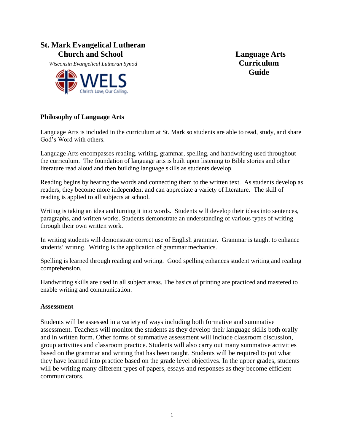## **St. Mark Evangelical Lutheran**  *Church and School* **Language Arts**

 *Wisconsin Evangelical Lutheran Synod* **Curriculum**



**Guide**

### **Philosophy of Language Arts**

Language Arts is included in the curriculum at St. Mark so students are able to read, study, and share God's Word with others.

Language Arts encompasses reading, writing, grammar, spelling, and handwriting used throughout the curriculum. The foundation of language arts is built upon listening to Bible stories and other literature read aloud and then building language skills as students develop.

Reading begins by hearing the words and connecting them to the written text. As students develop as readers, they become more independent and can appreciate a variety of literature. The skill of reading is applied to all subjects at school.

Writing is taking an idea and turning it into words. Students will develop their ideas into sentences, paragraphs, and written works. Students demonstrate an understanding of various types of writing through their own written work.

In writing students will demonstrate correct use of English grammar. Grammar is taught to enhance students' writing. Writing is the application of grammar mechanics.

Spelling is learned through reading and writing. Good spelling enhances student writing and reading comprehension.

Handwriting skills are used in all subject areas. The basics of printing are practiced and mastered to enable writing and communication.

#### **Assessment**

Students will be assessed in a variety of ways including both formative and summative assessment. Teachers will monitor the students as they develop their language skills both orally and in written form. Other forms of summative assessment will include classroom discussion, group activities and classroom practice. Students will also carry out many summative activities based on the grammar and writing that has been taught. Students will be required to put what they have learned into practice based on the grade level objectives. In the upper grades, students will be writing many different types of papers, essays and responses as they become efficient communicators.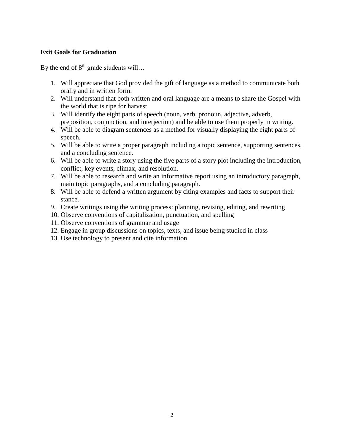### **Exit Goals for Graduation**

By the end of  $8<sup>th</sup>$  grade students will…

- 1. Will appreciate that God provided the gift of language as a method to communicate both orally and in written form.
- 2. Will understand that both written and oral language are a means to share the Gospel with the world that is ripe for harvest.
- 3. Will identify the eight parts of speech (noun, verb, pronoun, adjective, adverb, preposition, conjunction, and interjection) and be able to use them properly in writing.
- 4. Will be able to diagram sentences as a method for visually displaying the eight parts of speech.
- 5. Will be able to write a proper paragraph including a topic sentence, supporting sentences, and a concluding sentence.
- 6. Will be able to write a story using the five parts of a story plot including the introduction, conflict, key events, climax, and resolution.
- 7. Will be able to research and write an informative report using an introductory paragraph, main topic paragraphs, and a concluding paragraph.
- 8. Will be able to defend a written argument by citing examples and facts to support their stance.
- 9. Create writings using the writing process: planning, revising, editing, and rewriting
- 10. Observe conventions of capitalization, punctuation, and spelling
- 11. Observe conventions of grammar and usage
- 12. Engage in group discussions on topics, texts, and issue being studied in class
- 13. Use technology to present and cite information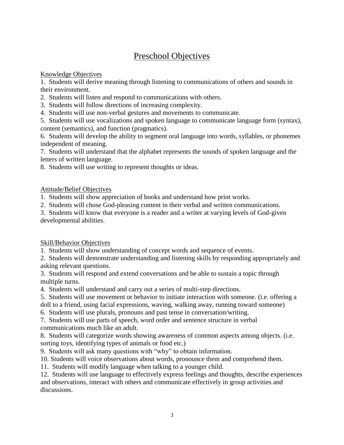# Preschool Objectives

Knowledge Objectives

1. Students will derive meaning through listening to communications of others and sounds in their environment.

2. Students will listen and respond to communications with others.

3. Students will follow directions of increasing complexity.

4. Students will use non-verbal gestures and movements to communicate.

5. Students will use vocalizations and spoken language to communicate language form (syntax), content (semantics), and function (pragmatics).

6. Students will develop the ability to segment oral language into words, syllables, or phonemes independent of meaning.

7. Students will understand that the alphabet represents the sounds of spoken language and the letters of written language.

8. Students will use writing to represent thoughts or ideas.

## Attitude/Belief Objectives

1. Students will show appreciation of books and understand how print works.

2. Students will chose God-pleasing content in their verbal and written communications.

3. Students will know that everyone is a reader and a writer at varying levels of God-given developmental abilities.

## Skill/Behavior Objectives

1. Students will show understanding of concept words and sequence of events.

2. Students will demonstrate understanding and listening skills by responding appropriately and asking relevant questions.

3. Students will respond and extend conversations and be able to sustain a topic through multiple turns.

4. Students will understand and carry out a series of multi-step directions.

5. Students will use movement or behavior to initiate interaction with someone. (i.e. offering a

doll to a friend, using facial expressions, waving, walking away, running toward someone)

6. Students will use plurals, pronouns and past tense in conversation/writing.

7. Students will use parts of speech, word order and sentence structure in verbal communications much like an adult.

8. Students will categorize words showing awareness of common aspects among objects. (i.e. sorting toys, identifying types of animals or food etc.)

9. Students will ask many questions with "why" to obtain information.

10. Students will voice observations about words, pronounce them and comprehend them.

11. Students will modify language when talking to a younger child.

12. Students will use language to effectively express feelings and thoughts, describe experiences and observations, interact with others and communicate effectively in group activities and discussions.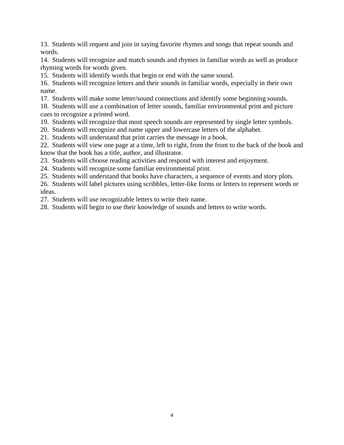13. Students will request and join in saying favorite rhymes and songs that repeat sounds and words.

14. Students will recognize and match sounds and rhymes in familiar words as well as produce rhyming words for words given.

15. Students will identify words that begin or end with the same sound.

16. Students will recognize letters and their sounds in familiar words, especially in their own name.

17. Students will make some letter/sound connections and identify some beginning sounds.

18. Students will use a combination of letter sounds, familiar environmental print and picture cues to recognize a printed word.

19. Students will recognize that most speech sounds are represented by single letter symbols.

20. Students will recognize and name upper and lowercase letters of the alphabet.

21. Students will understand that print carries the message in a book.

22. Students will view one page at a time, left to right, from the front to the back of the book and know that the book has a title, author, and illustrator.

23. Students will choose reading activities and respond with interest and enjoyment.

24. Students will recognize some familiar environmental print.

25. Students will understand that books have characters, a sequence of events and story plots.

26. Students will label pictures using scribbles, letter-like forms or letters to represent words or ideas.

27. Students will use recognizable letters to write their name.

28. Students will begin to use their knowledge of sounds and letters to write words.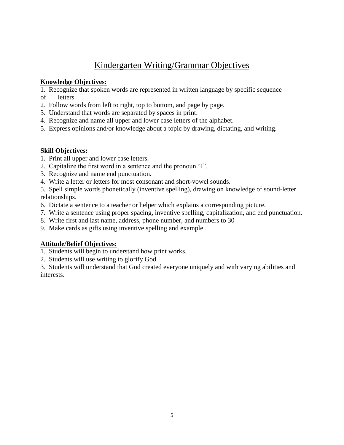# Kindergarten Writing/Grammar Objectives

## **Knowledge Objectives:**

1. Recognize that spoken words are represented in written language by specific sequence of letters.

- 2. Follow words from left to right, top to bottom, and page by page.
- 3. Understand that words are separated by spaces in print.
- 4. Recognize and name all upper and lower case letters of the alphabet.
- 5. Express opinions and/or knowledge about a topic by drawing, dictating, and writing.

## **Skill Objectives:**

- 1. Print all upper and lower case letters.
- 2. Capitalize the first word in a sentence and the pronoun "I".
- 3. Recognize and name end punctuation.
- 4. Write a letter or letters for most consonant and short-vowel sounds.

5. Spell simple words phonetically (inventive spelling), drawing on knowledge of sound-letter relationships.

- 6. Dictate a sentence to a teacher or helper which explains a corresponding picture.
- 7. Write a sentence using proper spacing, inventive spelling, capitalization, and end punctuation.
- 8. Write first and last name, address, phone number, and numbers to 30
- 9. Make cards as gifts using inventive spelling and example.

## **Attitude/Belief Objectives:**

- 1. Students will begin to understand how print works.
- 2. Students will use writing to glorify God.

3. Students will understand that God created everyone uniquely and with varying abilities and interests.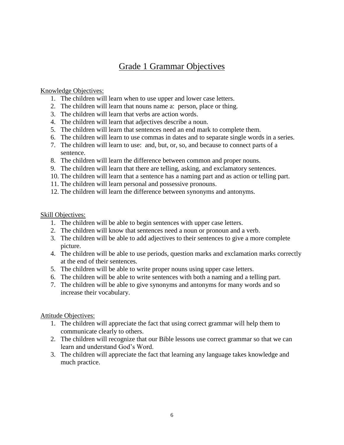## Grade 1 Grammar Objectives

### Knowledge Objectives:

- 1. The children will learn when to use upper and lower case letters.
- 2. The children will learn that nouns name a: person, place or thing.
- 3. The children will learn that verbs are action words.
- 4. The children will learn that adjectives describe a noun.
- 5. The children will learn that sentences need an end mark to complete them.
- 6. The children will learn to use commas in dates and to separate single words in a series.
- 7. The children will learn to use: and, but, or, so, and because to connect parts of a sentence.
- 8. The children will learn the difference between common and proper nouns.
- 9. The children will learn that there are telling, asking, and exclamatory sentences.
- 10. The children will learn that a sentence has a naming part and as action or telling part.
- 11. The children will learn personal and possessive pronouns.
- 12. The children will learn the difference between synonyms and antonyms.

#### Skill Objectives:

- 1. The children will be able to begin sentences with upper case letters.
- 2. The children will know that sentences need a noun or pronoun and a verb.
- 3. The children will be able to add adjectives to their sentences to give a more complete picture.
- 4. The children will be able to use periods, question marks and exclamation marks correctly at the end of their sentences.
- 5. The children will be able to write proper nouns using upper case letters.
- 6. The children will be able to write sentences with both a naming and a telling part.
- 7. The children will be able to give synonyms and antonyms for many words and so increase their vocabulary.

#### Attitude Objectives:

- 1. The children will appreciate the fact that using correct grammar will help them to communicate clearly to others.
- 2. The children will recognize that our Bible lessons use correct grammar so that we can learn and understand God's Word.
- 3. The children will appreciate the fact that learning any language takes knowledge and much practice.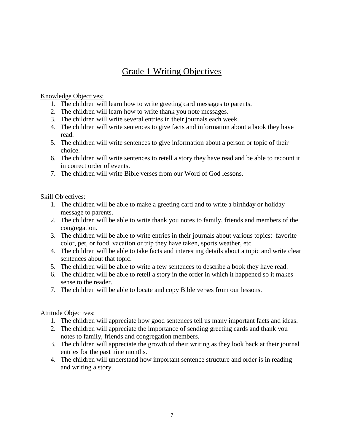# Grade 1 Writing Objectives

## Knowledge Objectives:

- 1. The children will learn how to write greeting card messages to parents.
- 2. The children will learn how to write thank you note messages.
- 3. The children will write several entries in their journals each week.
- 4. The children will write sentences to give facts and information about a book they have read.
- 5. The children will write sentences to give information about a person or topic of their choice.
- 6. The children will write sentences to retell a story they have read and be able to recount it in correct order of events.
- 7. The children will write Bible verses from our Word of God lessons.

## Skill Objectives:

- 1. The children will be able to make a greeting card and to write a birthday or holiday message to parents.
- 2. The children will be able to write thank you notes to family, friends and members of the congregation.
- 3. The children will be able to write entries in their journals about various topics: favorite color, pet, or food, vacation or trip they have taken, sports weather, etc.
- 4. The children will be able to take facts and interesting details about a topic and write clear sentences about that topic.
- 5. The children will be able to write a few sentences to describe a book they have read.
- 6. The children will be able to retell a story in the order in which it happened so it makes sense to the reader.
- 7. The children will be able to locate and copy Bible verses from our lessons.

## Attitude Objectives:

- 1. The children will appreciate how good sentences tell us many important facts and ideas.
- 2. The children will appreciate the importance of sending greeting cards and thank you notes to family, friends and congregation members.
- 3. The children will appreciate the growth of their writing as they look back at their journal entries for the past nine months.
- 4. The children will understand how important sentence structure and order is in reading and writing a story.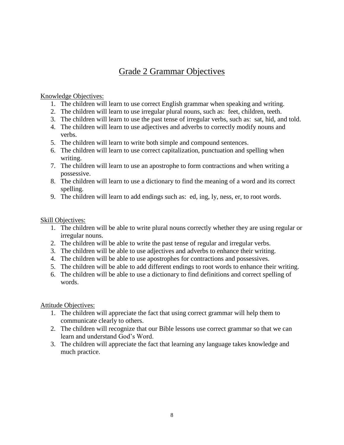# Grade 2 Grammar Objectives

## Knowledge Objectives:

- 1. The children will learn to use correct English grammar when speaking and writing.
- 2. The children will learn to use irregular plural nouns, such as: feet, children, teeth.
- 3. The children will learn to use the past tense of irregular verbs, such as: sat, hid, and told.
- 4. The children will learn to use adjectives and adverbs to correctly modify nouns and verbs.
- 5. The children will learn to write both simple and compound sentences.
- 6. The children will learn to use correct capitalization, punctuation and spelling when writing.
- 7. The children will learn to use an apostrophe to form contractions and when writing a possessive.
- 8. The children will learn to use a dictionary to find the meaning of a word and its correct spelling.
- 9. The children will learn to add endings such as: ed, ing, ly, ness, er, to root words.

## Skill Objectives:

- 1. The children will be able to write plural nouns correctly whether they are using regular or irregular nouns.
- 2. The children will be able to write the past tense of regular and irregular verbs.
- 3. The children will be able to use adjectives and adverbs to enhance their writing.
- 4. The children will be able to use apostrophes for contractions and possessives.
- 5. The children will be able to add different endings to root words to enhance their writing.
- 6. The children will be able to use a dictionary to find definitions and correct spelling of words.

## Attitude Objectives:

- 1. The children will appreciate the fact that using correct grammar will help them to communicate clearly to others.
- 2. The children will recognize that our Bible lessons use correct grammar so that we can learn and understand God's Word.
- 3. The children will appreciate the fact that learning any language takes knowledge and much practice.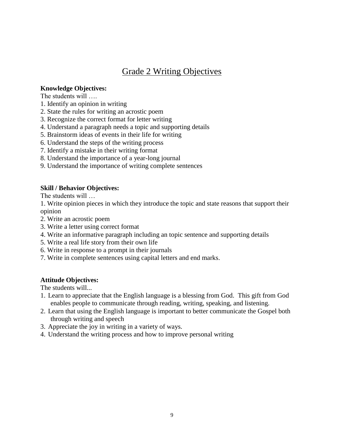## Grade 2 Writing Objectives

## **Knowledge Objectives:**

The students will ….

- 1. Identify an opinion in writing
- 2. State the rules for writing an acrostic poem
- 3. Recognize the correct format for letter writing
- 4. Understand a paragraph needs a topic and supporting details
- 5. Brainstorm ideas of events in their life for writing
- 6. Understand the steps of the writing process
- 7. Identify a mistake in their writing format
- 8. Understand the importance of a year-long journal
- 9. Understand the importance of writing complete sentences

## **Skill / Behavior Objectives:**

The students will …

1. Write opinion pieces in which they introduce the topic and state reasons that support their opinion

- 2. Write an acrostic poem
- 3. Write a letter using correct format
- 4. Write an informative paragraph including an topic sentence and supporting details
- 5. Write a real life story from their own life
- 6. Write in response to a prompt in their journals
- 7. Write in complete sentences using capital letters and end marks.

## **Attitude Objectives:**

The students will...

- 1. Learn to appreciate that the English language is a blessing from God. This gift from God enables people to communicate through reading, writing, speaking, and listening.
- 2. Learn that using the English language is important to better communicate the Gospel both through writing and speech
- 3. Appreciate the joy in writing in a variety of ways.
- 4. Understand the writing process and how to improve personal writing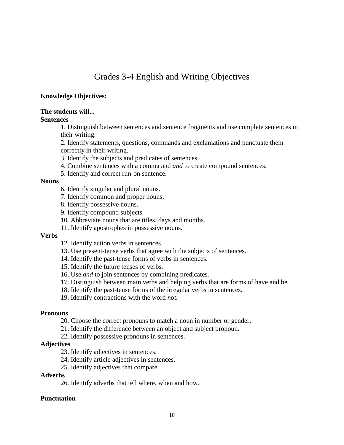# Grades 3-4 English and Writing Objectives

#### **Knowledge Objectives:**

### **The students will...**

### **Sentences**

1. Distinguish between sentences and sentence fragments and use complete sentences in their writing.

2. Identify statements, questions, commands and exclamations and punctuate them correctly in their writing.

- 3. Identify the subjects and predicates of sentences.
- 4. Combine sentences with a comma and *and* to create compound sentences.
- 5. Identify and correct run-on sentence.

#### **Nouns**

- 6. Identify singular and plural nouns.
- 7. Identify common and proper nouns.
- 8. Identify possessive nouns.
- 9. Identify compound subjects.
- 10. Abbreviate nouns that are titles, days and months.
- 11. Identify apostrophes in possessive nouns.

#### **Verbs**

- 12. Identify action verbs in sentences.
- 13. Use present-tense verbs that agree with the subjects of sentences.
- 14. Identify the past-tense forms of verbs in sentences.
- 15. Identify the future tenses of verbs.
- 16. Use *and* to join sentences by combining predicates.
- 17. Distinguish between main verbs and helping verbs that are forms of have and be.
- 18. Identify the past-tense forms of the irregular verbs in sentences.
- 19. Identify contractions with the word *not.*

#### **Pronouns**

- 20. Choose the correct pronouns to match a noun in number or gender.
- 21. Identify the difference between an object and subject pronoun.
- 22. Identify possessive pronouns in sentences.

#### **Adjectives**

- 23. Identify adjectives in sentences.
- 24. Identify article adjectives in sentences.
- 25. Identify adjectives that compare.

#### **Adverbs**

26. Identify adverbs that tell where, when and how.

#### **Punctuation**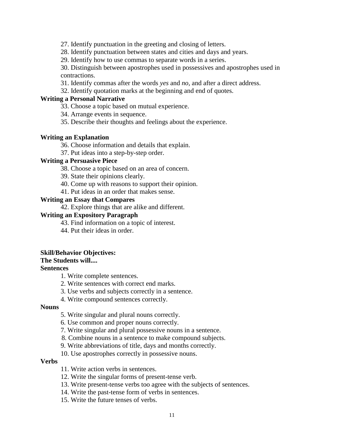27. Identify punctuation in the greeting and closing of letters.

28. Identify punctuation between states and cities and days and years.

29. Identify how to use commas to separate words in a series.

30. Distinguish between apostrophes used in possessives and apostrophes used in contractions.

31. Identify commas after the words *yes* and *no,* and after a direct address.

32. Identify quotation marks at the beginning and end of quotes.

#### **Writing a Personal Narrative**

33. Choose a topic based on mutual experience.

34. Arrange events in sequence.

35. Describe their thoughts and feelings about the experience.

#### **Writing an Explanation**

36. Choose information and details that explain.

37. Put ideas into a step-by-step order.

#### **Writing a Persuasive Piece**

38. Choose a topic based on an area of concern.

39. State their opinions clearly.

40. Come up with reasons to support their opinion.

41. Put ideas in an order that makes sense.

#### **Writing an Essay that Compares**

42. Explore things that are alike and different.

#### **Writing an Expository Paragraph**

43. Find information on a topic of interest.

44. Put their ideas in order.

#### **Skill/Behavior Objectives:**

#### **The Students will....**

#### **Sentences**

1. Write complete sentences.

- 2. Write sentences with correct end marks.
- 3. Use verbs and subjects correctly in a sentence.
- 4. Write compound sentences correctly.

#### **Nouns**

- 5. Write singular and plural nouns correctly.
- 6. Use common and proper nouns correctly.
- 7. Write singular and plural possessive nouns in a sentence.
- 8. Combine nouns in a sentence to make compound subjects.
- 9. Write abbreviations of title, days and months correctly.
- 10. Use apostrophes correctly in possessive nouns.

#### **Verbs**

- 11. Write action verbs in sentences.
- 12. Write the singular forms of present-tense verb.
- 13. Write present-tense verbs too agree with the subjects of sentences.
- 14. Write the past-tense form of verbs in sentences.
- 15. Write the future tenses of verbs.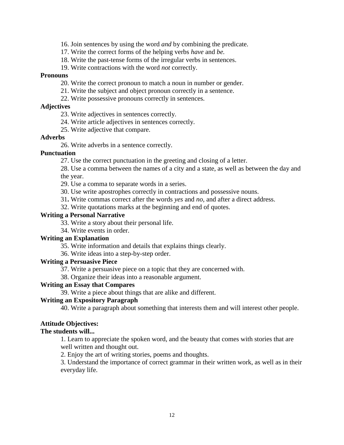- 16. Join sentences by using the word *and* by combining the predicate.
- 17. Write the correct forms of the helping verbs *have* and *be.*
- 18. Write the past-tense forms of the irregular verbs in sentences.
- 19. Write contractions with the word *not* correctly.

#### **Pronouns**

- 20. Write the correct pronoun to match a noun in number or gender.
- 21. Write the subject and object pronoun correctly in a sentence.
- 22. Write possessive pronouns correctly in sentences.

#### **Adjectives**

- 23. Write adjectives in sentences correctly.
- 24. Write article adjectives in sentences correctly.
- 25. Write adjective that compare.

#### **Adverbs**

26. Write adverbs in a sentence correctly.

#### **Punctuation**

- 27. Use the correct punctuation in the greeting and closing of a letter.
- 28. Use a comma between the names of a city and a state, as well as between the day and the year.
- 29. Use a comma to separate words in a series.
- 30. Use write apostrophes correctly in contractions and possessive nouns.
- 31**.** Write commas correct after the words *yes* and *no,* and after a direct address.
- 32. Write quotations marks at the beginning and end of quotes.

#### **Writing a Personal Narrative**

- 33. Write a story about their personal life.
- 34. Write events in order.

#### **Writing an Explanation**

- 35. Write information and details that explains things clearly.
- 36. Write ideas into a step-by-step order.

#### **Writing a Persuasive Piece**

- 37. Write a persuasive piece on a topic that they are concerned with.
- 38. Organize their ideas into a reasonable argument.

#### **Writing an Essay that Compares**

39. Write a piece about things that are alike and different.

#### **Writing an Expository Paragraph**

40. Write a paragraph about something that interests them and will interest other people.

#### **Attitude Objectives:**

#### **The students will...**

1. Learn to appreciate the spoken word, and the beauty that comes with stories that are well written and thought out.

2. Enjoy the art of writing stories, poems and thoughts.

3. Understand the importance of correct grammar in their written work, as well as in their everyday life.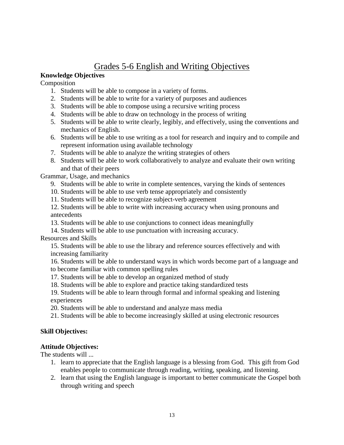# Grades 5-6 English and Writing Objectives

## **Knowledge Objectives**

Composition

- 1. Students will be able to compose in a variety of forms.
- 2. Students will be able to write for a variety of purposes and audiences
- 3. Students will be able to compose using a recursive writing process
- 4. Students will be able to draw on technology in the process of writing
- 5. Students will be able to write clearly, legibly, and effectively, using the conventions and mechanics of English.
- 6. Students will be able to use writing as a tool for research and inquiry and to compile and represent information using available technology
- 7. Students will be able to analyze the writing strategies of others
- 8. Students will be able to work collaboratively to analyze and evaluate their own writing and that of their peers

Grammar, Usage, and mechanics

- 9. Students will be able to write in complete sentences, varying the kinds of sentences
- 10. Students will be able to use verb tense appropriately and consistently
- 11. Students will be able to recognize subject-verb agreement

12. Students will be able to write with increasing accuracy when using pronouns and antecedents

13. Students will be able to use conjunctions to connect ideas meaningfully

14. Students will be able to use punctuation with increasing accuracy.

#### Resources and Skills

15. Students will be able to use the library and reference sources effectively and with increasing familiarity

16. Students will be able to understand ways in which words become part of a language and to become familiar with common spelling rules

- 17. Students will be able to develop an organized method of study
- 18. Students will be able to explore and practice taking standardized tests
- 19. Students will be able to learn through formal and informal speaking and listening experiences
- 20. Students will be able to understand and analyze mass media
- 21. Students will be able to become increasingly skilled at using electronic resources

## **Skill Objectives:**

## **Attitude Objectives:**

The students will ...

- 1. learn to appreciate that the English language is a blessing from God. This gift from God enables people to communicate through reading, writing, speaking, and listening.
- 2. learn that using the English language is important to better communicate the Gospel both through writing and speech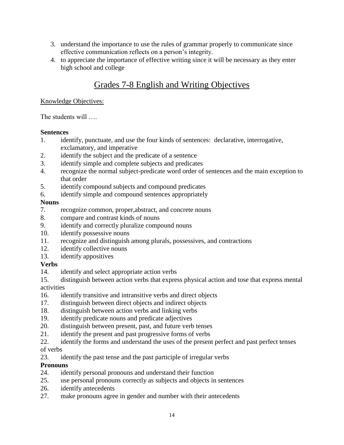- 3. understand the importance to use the rules of grammar properly to communicate since effective communication reflects on a person's integrity.
- 4. to appreciate the importance of effective writing since it will be necessary as they enter high school and college

# Grades 7-8 English and Writing Objectives

### Knowledge Objectives:

The students will ….

## **Sentences**

- 1. identify, punctuate, and use the four kinds of sentences: declarative, interrogative, exclamatory, and imperative
- 2. identify the subject and the predicate of a sentence
- 3. identify simple and complete subjects and predicates
- 4. recognize the normal subject-predicate word order of sentences and the main exception to that order
- 5. identify compound subjects and compound predicates
- 6. identify simple and compound sentences appropriately

## **Nouns**

- 7. recognize common, proper,abstract, and concrete nouns
- 8. compare and contrast kinds of nouns
- 9. identify and correctly pluralize compound nouns
- 10. identify possessive nouns
- 11. recognize and distinguish among plurals, possessives, and contractions
- 12. identify collective nouns
- 13. identify appositives

## **Verbs**

- 14. identify and select appropriate action verbs
- 15. distinguish between action verbs that express physical action and tose that express mental activities
- 16. identify transitive and intransitive verbs and direct objects
- 17. distinguish between direct objects and indirect objects
- 18. distinguish between action verbs and linking verbs
- 19. identify predicate nouns and predicate adjectives
- 20. distinguish between present, past, and future verb tenses
- 21. identify the present and past progressive forms of verbs
- 22. identify the forms and understand the uses of the present perfect and past perfect tenses of verbs
- 23. identify the past tense and the past participle of irregular verbs

## **Pronouns**

- 24. identify personal pronouns and understand their function
- 25. use personal pronouns correctly as subjects and objects in sentences
- 26. identify antecedents
- 27. make pronouns agree in gender and number with their antecedents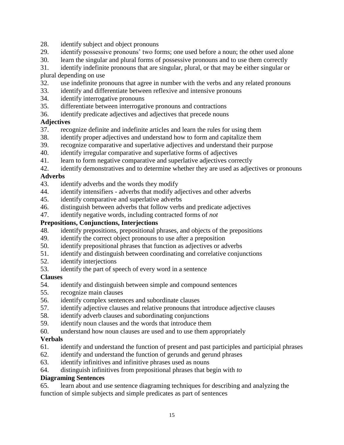- 28. identify subject and object pronouns
- 29. identify possessive pronouns' two forms; one used before a noun; the other used alone
- 30. learn the singular and plural forms of possessive pronouns and to use them correctly

31. identify indefinite pronouns that are singular, plural, or that may be either singular or plural depending on use

- 32. use indefinite pronouns that agree in number with the verbs and any related pronouns
- 33. identify and differentiate between reflexive and intensive pronouns
- 34. identify interrogative pronouns
- 35. differentiate between interrogative pronouns and contractions
- 36. identify predicate adjectives and adjectives that precede nouns

### **Adjectives**

- 37. recognize definite and indefinite articles and learn the rules for using them
- 38. identify proper adjectives and understand how to form and capitalize them
- 39. recognize comparative and superlative adjectives and understand their purpose
- 40. identify irregular comparative and superlative forms of adjectives
- 41. learn to form negative comparative and superlative adjectives correctly
- 42. identify demonstratives and to determine whether they are used as adjectives or pronouns

### **Adverbs**

- 43. identify adverbs and the words they modify
- 44. identify intensifiers adverbs that modify adjectives and other adverbs
- 45. identify comparative and superlative adverbs
- 46. distinguish between adverbs that follow verbs and predicate adjectives
- 47. identify negative words, including contracted forms of *not*

#### **Prepositions, Conjunctions, Interjections**

- 48. identify prepositions, prepositional phrases, and objects of the prepositions
- 49. identify the correct object pronouns to use after a preposition
- 50. identify prepositional phrases that function as adjectives or adverbs
- 51. identify and distinguish between coordinating and correlative conjunctions
- 52. identify interjections
- 53. identify the part of speech of every word in a sentence

#### **Clauses**

- 54. identify and distinguish between simple and compound sentences
- 55. recognize main clauses
- 56. identify complex sentences and subordinate clauses
- 57. identify adjective clauses and relative pronouns that introduce adjective clauses
- 58. identify adverb clauses and subordinating conjunctions
- 59. identify noun clauses and the words that introduce them
- 60. understand how noun clauses are used and to use them appropriately

## **Verbals**

- 61. identify and understand the function of present and past participles and participial phrases
- 62. identify and understand the function of gerunds and gerund phrases
- 63. identify infinitives and infinitive phrases used as nouns
- 64. distinguish infinitives from prepositional phrases that begin with *to*

## **Diagraming Sentences**

65. learn about and use sentence diagraming techniques for describing and analyzing the function of simple subjects and simple predicates as part of sentences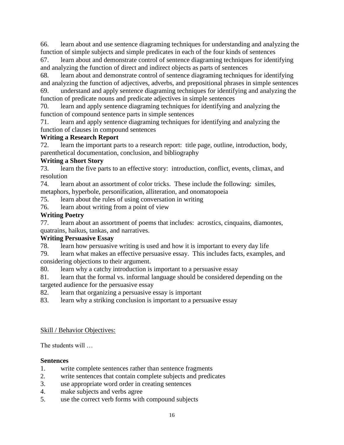66. learn about and use sentence diagraming techniques for understanding and analyzing the function of simple subjects and simple predicates in each of the four kinds of sentences

67. learn about and demonstrate control of sentence diagraming techniques for identifying and analyzing the function of direct and indirect objects as parts of sentences

68. learn about and demonstrate control of sentence diagraming techniques for identifying and analyzing the function of adjectives, adverbs, and prepositional phrases in simple sentences 69. understand and apply sentence diagraming techniques for identifying and analyzing the function of predicate nouns and predicate adjectives in simple sentences

70. learn and apply sentence diagraming techniques for identifying and analyzing the function of compound sentence parts in simple sentences

71. learn and apply sentence diagraming techniques for identifying and analyzing the function of clauses in compound sentences

## **Writing a Research Report**

72. learn the important parts to a research report: title page, outline, introduction, body, parenthetical documentation, conclusion, and bibliography

## **Writing a Short Story**

73. learn the five parts to an effective story: introduction, conflict, events, climax, and resolution

74. learn about an assortment of color tricks. These include the following: similes, metaphors, hyperbole, personification, alliteration, and onomatopoeia

75. learn about the rules of using conversation in writing

76. learn about writing from a point of view

## **Writing Poetry**

77. learn about an assortment of poems that includes: acrostics, cinquains, diamontes, quatrains, haikus, tankas, and narratives.

## **Writing Persuasive Essay**

78. learn how persuasive writing is used and how it is important to every day life

79. learn what makes an effective persuasive essay. This includes facts, examples, and considering objections to their argument.

80. learn why a catchy introduction is important to a persuasive essay

81. learn that the formal vs. informal language should be considered depending on the targeted audience for the persuasive essay

82. learn that organizing a persuasive essay is important

83. learn why a striking conclusion is important to a persuasive essay

## Skill / Behavior Objectives:

The students will …

## **Sentences**

- 1. write complete sentences rather than sentence fragments
- 2. write sentences that contain complete subjects and predicates
- 3. use appropriate word order in creating sentences
- 4. make subjects and verbs agree
- 5. use the correct verb forms with compound subjects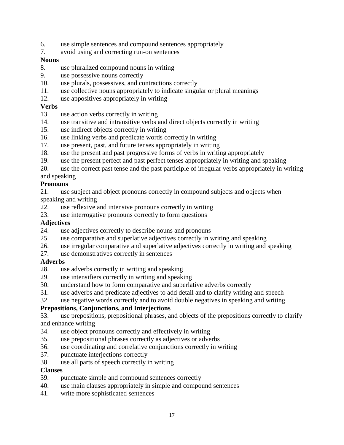- 6. use simple sentences and compound sentences appropriately
- 7. avoid using and correcting run-on sentences

### **Nouns**

- 8. use pluralized compound nouns in writing
- 9. use possessive nouns correctly
- 10. use plurals, possessives, and contractions correctly
- 11. use collective nouns appropriately to indicate singular or plural meanings
- 12. use appositives appropriately in writing

### **Verbs**

- 13. use action verbs correctly in writing
- 14. use transitive and intransitive verbs and direct objects correctly in writing
- 15. use indirect objects correctly in writing
- 16. use linking verbs and predicate words correctly in writing
- 17. use present, past, and future tenses appropriately in writing
- 18. use the present and past progressive forms of verbs in writing appropriately
- 19. use the present perfect and past perfect tenses appropriately in writing and speaking
- 20. use the correct past tense and the past participle of irregular verbs appropriately in writing

## and speaking

### **Pronouns**

21. use subject and object pronouns correctly in compound subjects and objects when speaking and writing

- 22. use reflexive and intensive pronouns correctly in writing
- 23. use interrogative pronouns correctly to form questions

### **Adjectives**

- 24. use adjectives correctly to describe nouns and pronouns
- 25. use comparative and superlative adjectives correctly in writing and speaking
- 26. use irregular comparative and superlative adjectives correctly in writing and speaking
- 27. use demonstratives correctly in sentences

## **Adverbs**

- 28. use adverbs correctly in writing and speaking<br>29. use intensifiers correctly in writing and speaking
- use intensifiers correctly in writing and speaking
- 30. understand how to form comparative and superlative adverbs correctly
- 31. use adverbs and predicate adjectives to add detail and to clarify writing and speech
- 32. use negative words correctly and to avoid double negatives in speaking and writing

## **Prepositions, Conjunctions, and Interjections**

- 33. use prepositions, prepositional phrases, and objects of the prepositions correctly to clarify and enhance writing
- 34. use object pronouns correctly and effectively in writing
- 35. use prepositional phrases correctly as adjectives or adverbs
- 36. use coordinating and correlative conjunctions correctly in writing
- 37. punctuate interjections correctly
- 38. use all parts of speech correctly in writing

#### **Clauses**

- 39. punctuate simple and compound sentences correctly
- 40. use main clauses appropriately in simple and compound sentences
- 41. write more sophisticated sentences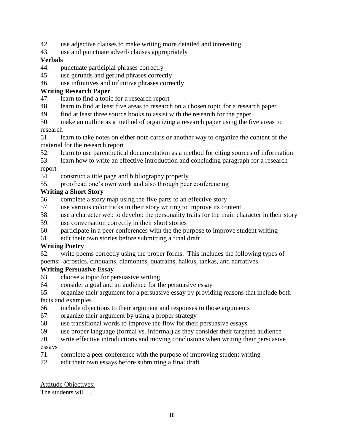- 42. use adjective clauses to make writing more detailed and interesting
- 43. use and punctuate adverb clauses appropriately

## **Verbals**

- 44. punctuate participial phrases correctly
- 45. use gerunds and gerund phrases correctly
- 46. use infinitives and infinitive phrases correctly

## **Writing Research Paper**

- 47. learn to find a topic for a research report
- 48. learn to find at least five areas to research on a chosen topic for a research paper
- 49. find at least three source books to assist with the research for the paper
- 50. make an outline as a method of organizing a research paper using the five areas to research
- 51. learn to take notes on either note cards or another way to organize the content of the material for the research report
- 52. learn to use parenthetical documentation as a method for citing sources of information
- 53. learn how to write an effective introduction and concluding paragraph for a research

## report

- 54. construct a title page and bibliography properly
- 55. proofread one's own work and also through peer conferencing

## **Writing a Short Story**

- 56. complete a story map using the five parts to an effective story
- 57. use various color tricks in their story writing to improve its content
- 58. use a character web to develop the personality traits for the main character in their story
- 59. use conversation correctly in their short stories
- 60. participate in a peer conferences with the the purpose to improve student writing
- 61. edit their own stories before submitting a final draft

## **Writing Poetry**

62. write poems correctly using the proper forms. This includes the following types of poems: acrostics, cinquains, diamontes, quatrains, haikus, tankas, and narratives.

## **Writing Persuasive Essay**

- 63. choose a topic for persuasive writing
- 64. consider a goal and an audience for the persuasive essay

65. organize their argument for a persuasive essay by providing reasons that include both facts and examples

- 66. include objections to their argument and responses to those arguments
- 67. organize their argument by using a proper strategy
- 68. use transitional words to improve the flow for their persuasive essays
- 69. use proper language (formal vs. informal) as they consider their targeted audience
- 70. write effective introductions and moving conclusions when writing their persuasive essays
- 71. complete a peer conference with the purpose of improving student writing
- 72. edit their own essays before submitting a final draft

## Attitude Objectives:

The students will ...